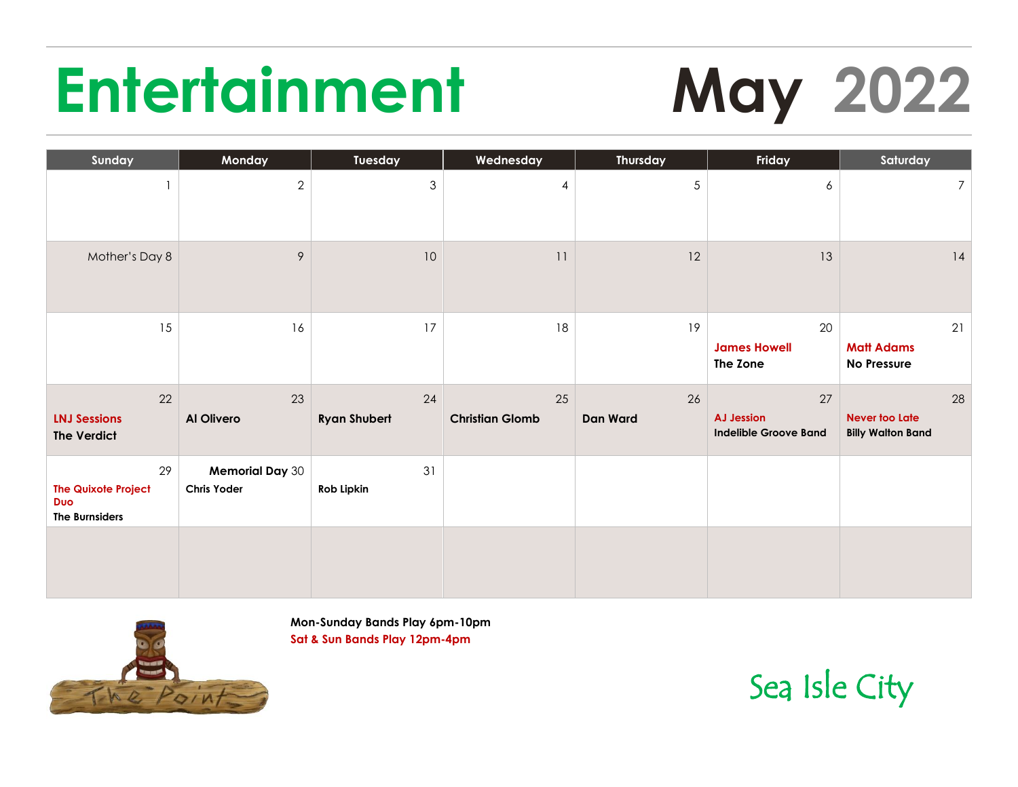# **Entertainment May 2022**

| Sunday                                                                  | Monday                                       | Tuesday                   | Wednesday                    | <b>Thursday</b>       | Friday                                                  | Saturday                                                |
|-------------------------------------------------------------------------|----------------------------------------------|---------------------------|------------------------------|-----------------------|---------------------------------------------------------|---------------------------------------------------------|
|                                                                         | $\mathbf{2}$                                 | $\mathfrak 3$             | 4                            | 5                     | 6                                                       | 7 <sup>7</sup>                                          |
| Mother's Day 8                                                          | $\mathsf{\varphi}$                           | 10                        | 11                           | 12                    | 13                                                      | 14                                                      |
| 15                                                                      | 16                                           | 17                        | 18                           | 19                    | 20<br><b>James Howell</b><br>The Zone                   | 21<br><b>Matt Adams</b><br>No Pressure                  |
| 22<br><b>LNJ Sessions</b><br>The Verdict                                | 23<br>Al Olivero                             | 24<br><b>Ryan Shubert</b> | 25<br><b>Christian Glomb</b> | 26<br><b>Dan Ward</b> | 27<br><b>AJ Jession</b><br><b>Indelible Groove Band</b> | 28<br><b>Never too Late</b><br><b>Billy Walton Band</b> |
| 29<br><b>The Quixote Project</b><br><b>Duo</b><br><b>The Burnsiders</b> | <b>Memorial Day 30</b><br><b>Chris Yoder</b> | 31<br>Rob Lipkin          |                              |                       |                                                         |                                                         |
|                                                                         |                                              |                           |                              |                       |                                                         |                                                         |



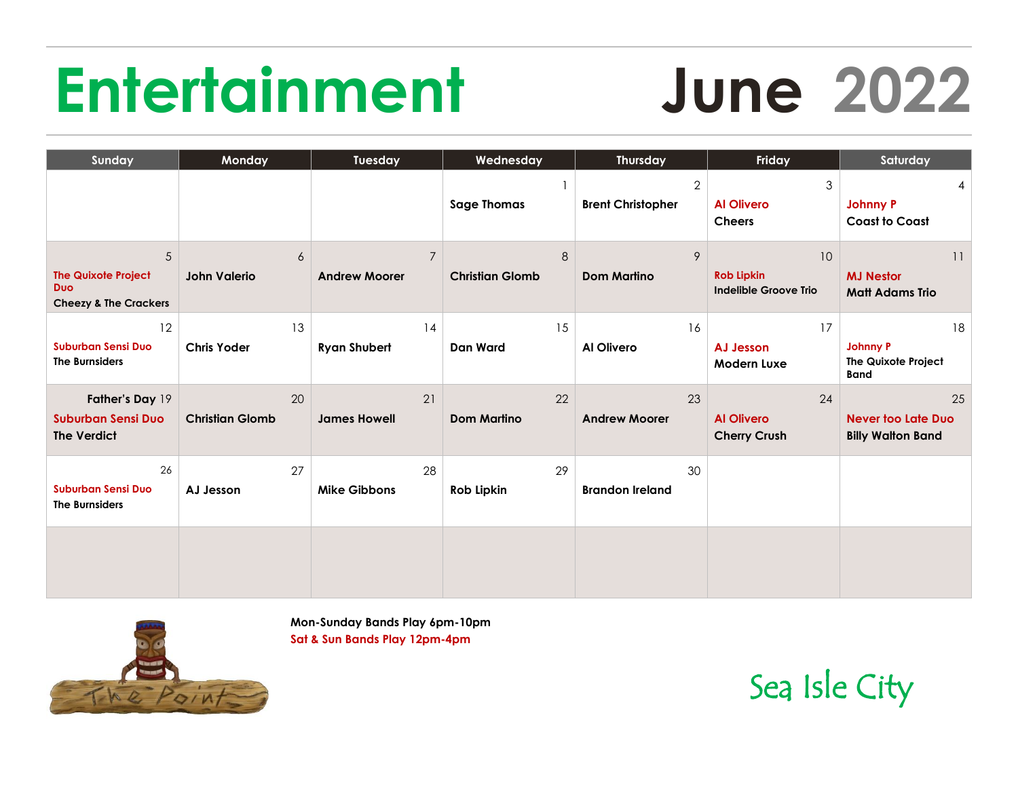# **Entertainment June 2022**

| Sunday                                                                            | Monday                       | Tuesday                                | Wednesday                   | <b>Thursday</b>                        | Friday                                           | Saturday                                                    |
|-----------------------------------------------------------------------------------|------------------------------|----------------------------------------|-----------------------------|----------------------------------------|--------------------------------------------------|-------------------------------------------------------------|
|                                                                                   |                              |                                        | <b>Sage Thomas</b>          | $\sqrt{2}$<br><b>Brent Christopher</b> | 3<br><b>Al Olivero</b><br><b>Cheers</b>          | 4<br><b>Johnny P</b><br><b>Coast to Coast</b>               |
| 5<br><b>The Quixote Project</b><br><b>Duo</b><br><b>Cheezy &amp; The Crackers</b> | 6<br><b>John Valerio</b>     | $\overline{7}$<br><b>Andrew Moorer</b> | 8<br><b>Christian Glomb</b> | $\mathcal{P}$<br><b>Dom Martino</b>    | 10<br><b>Rob Lipkin</b><br>Indelible Groove Trio | 11<br><b>MJ Nestor</b><br><b>Matt Adams Trio</b>            |
| 12<br><b>Suburban Sensi Duo</b><br><b>The Burnsiders</b>                          | 13<br><b>Chris Yoder</b>     | 14<br><b>Ryan Shubert</b>              | 15<br><b>Dan Ward</b>       | 16<br>Al Olivero                       | 17<br><b>AJ Jesson</b><br><b>Modern Luxe</b>     | 18<br><b>Johnny P</b><br>The Quixote Project<br><b>Band</b> |
| Father's Day 19<br><b>Suburban Sensi Duo</b><br><b>The Verdict</b>                | 20<br><b>Christian Glomb</b> | 21<br><b>James Howell</b>              | 22<br><b>Dom Martino</b>    | 23<br><b>Andrew Moorer</b>             | 24<br><b>Al Olivero</b><br><b>Cherry Crush</b>   | 25<br><b>Never too Late Duo</b><br><b>Billy Walton Band</b> |
| 26<br><b>Suburban Sensi Duo</b><br><b>The Burnsiders</b>                          | 27<br>AJ Jesson              | 28<br><b>Mike Gibbons</b>              | 29<br>Rob Lipkin            | 30<br><b>Brandon Ireland</b>           |                                                  |                                                             |
|                                                                                   |                              |                                        |                             |                                        |                                                  |                                                             |



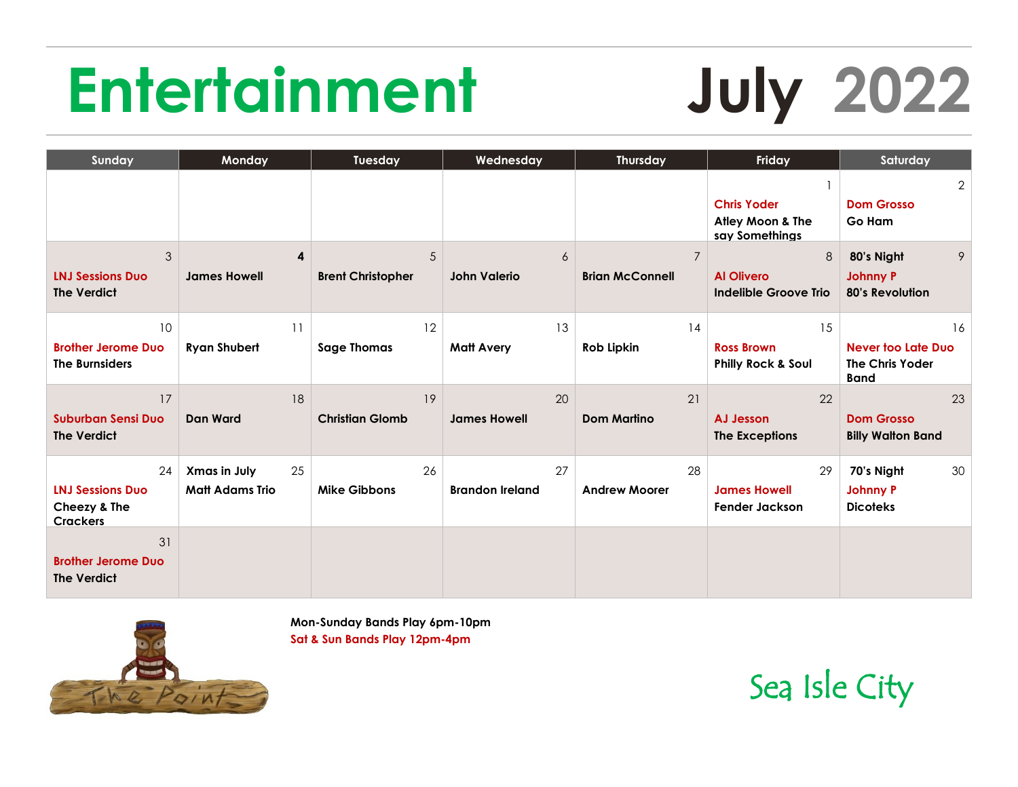## **Entertainment July 2022**

| Sunday                                                           | Monday                                       | Tuesday                       | Wednesday                    | <b>Thursday</b>                          | Friday                                                   | Saturday                                                          |
|------------------------------------------------------------------|----------------------------------------------|-------------------------------|------------------------------|------------------------------------------|----------------------------------------------------------|-------------------------------------------------------------------|
|                                                                  |                                              |                               |                              |                                          | <b>Chris Yoder</b><br>Atley Moon & The<br>say Somethings | $\overline{2}$<br><b>Dom Grosso</b><br>Go Ham                     |
| $\mathfrak{Z}$<br><b>LNJ Sessions Duo</b><br><b>The Verdict</b>  | 4<br><b>James Howell</b>                     | 5<br><b>Brent Christopher</b> | 6<br><b>John Valerio</b>     | $\overline{7}$<br><b>Brian McConnell</b> | 8<br><b>Al Olivero</b><br>Indelible Groove Trio          | 9<br>80's Night<br><b>Johnny P</b><br>80's Revolution             |
| 10<br><b>Brother Jerome Duo</b><br><b>The Burnsiders</b>         | 11<br><b>Ryan Shubert</b>                    | 12<br><b>Sage Thomas</b>      | 13<br><b>Matt Avery</b>      | 14<br>Rob Lipkin                         | 15<br><b>Ross Brown</b><br><b>Philly Rock &amp; Soul</b> | 16<br>Never too Late Duo<br><b>The Chris Yoder</b><br><b>Band</b> |
| 17<br><b>Suburban Sensi Duo</b><br><b>The Verdict</b>            | 18<br><b>Dan Ward</b>                        | 19<br><b>Christian Glomb</b>  | 20<br><b>James Howell</b>    | 21<br><b>Dom Martino</b>                 | 22<br>AJ Jesson<br><b>The Exceptions</b>                 | 23<br><b>Dom Grosso</b><br><b>Billy Walton Band</b>               |
| 24<br><b>LNJ Sessions Duo</b><br>Cheezy & The<br><b>Crackers</b> | 25<br>Xmas in July<br><b>Matt Adams Trio</b> | 26<br><b>Mike Gibbons</b>     | 27<br><b>Brandon Ireland</b> | 28<br><b>Andrew Moorer</b>               | 29<br><b>James Howell</b><br><b>Fender Jackson</b>       | 30<br>70's Night<br><b>Johnny P</b><br><b>Dicoteks</b>            |
| 31<br><b>Brother Jerome Duo</b><br><b>The Verdict</b>            |                                              |                               |                              |                                          |                                                          |                                                                   |



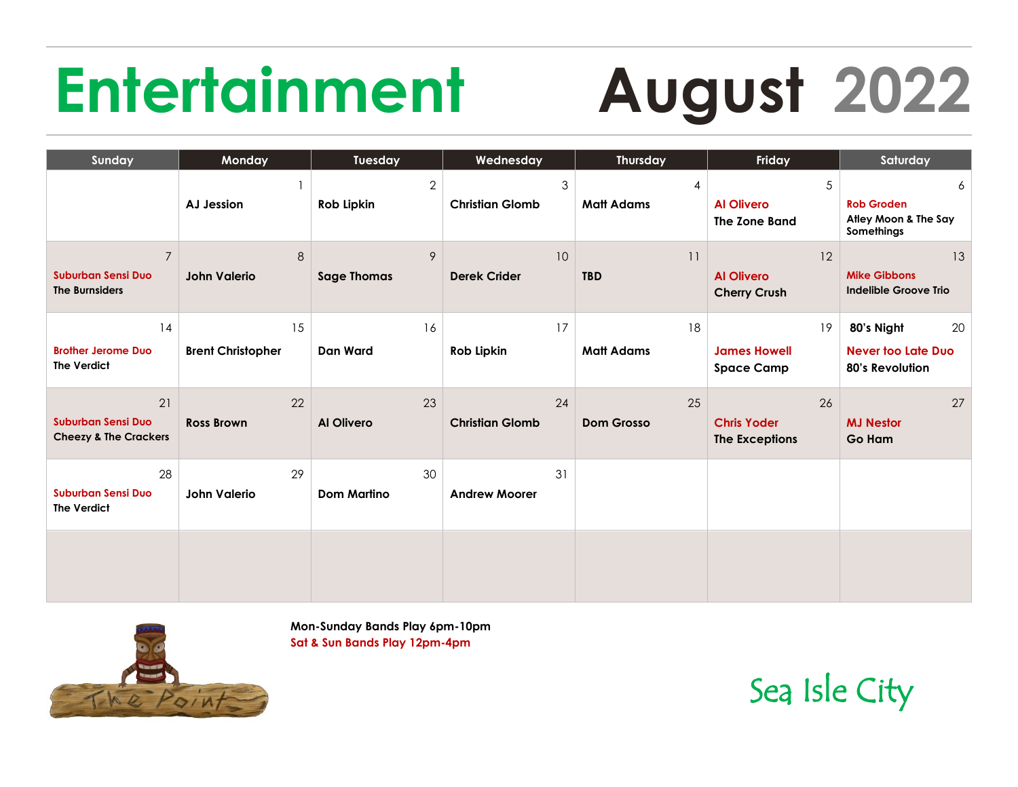# **Entertainment August 2022**

| Sunday                                                               | Monday                         | Tuesday                      | Wednesday                                | <b>Thursday</b>                     | Friday                                            | Saturday                                                     |
|----------------------------------------------------------------------|--------------------------------|------------------------------|------------------------------------------|-------------------------------------|---------------------------------------------------|--------------------------------------------------------------|
|                                                                      | <b>AJ Jession</b>              | $\overline{2}$<br>Rob Lipkin | $\mathfrak{S}$<br><b>Christian Glomb</b> | $\overline{4}$<br><b>Matt Adams</b> | 5<br><b>Al Olivero</b><br>The Zone Band           | 6<br><b>Rob Groden</b><br>Atley Moon & The Say<br>Somethings |
| $\overline{7}$<br><b>Suburban Sensi Duo</b><br><b>The Burnsiders</b> | $\,8\,$<br><b>John Valerio</b> | 9<br><b>Sage Thomas</b>      | 10<br><b>Derek Crider</b>                | 11<br><b>TBD</b>                    | 12<br><b>Al Olivero</b><br><b>Cherry Crush</b>    | 13<br><b>Mike Gibbons</b><br>Indelible Groove Trio           |
| 14<br><b>Brother Jerome Duo</b><br><b>The Verdict</b>                | 15<br><b>Brent Christopher</b> | 16<br><b>Dan Ward</b>        | 17<br>Rob Lipkin                         | 18<br><b>Matt Adams</b>             | 19<br><b>James Howell</b><br><b>Space Camp</b>    | 80's Night<br>20<br>Never too Late Duo<br>80's Revolution    |
| 21<br><b>Suburban Sensi Duo</b><br><b>Cheezy &amp; The Crackers</b>  | 22<br><b>Ross Brown</b>        | 23<br><b>Al Olivero</b>      | 24<br><b>Christian Glomb</b>             | 25<br><b>Dom Grosso</b>             | 26<br><b>Chris Yoder</b><br><b>The Exceptions</b> | 27<br><b>MJ Nestor</b><br><b>Go Ham</b>                      |
| 28<br><b>Suburban Sensi Duo</b><br><b>The Verdict</b>                | 29<br><b>John Valerio</b>      | 30<br><b>Dom Martino</b>     | 31<br><b>Andrew Moorer</b>               |                                     |                                                   |                                                              |
|                                                                      |                                |                              |                                          |                                     |                                                   |                                                              |